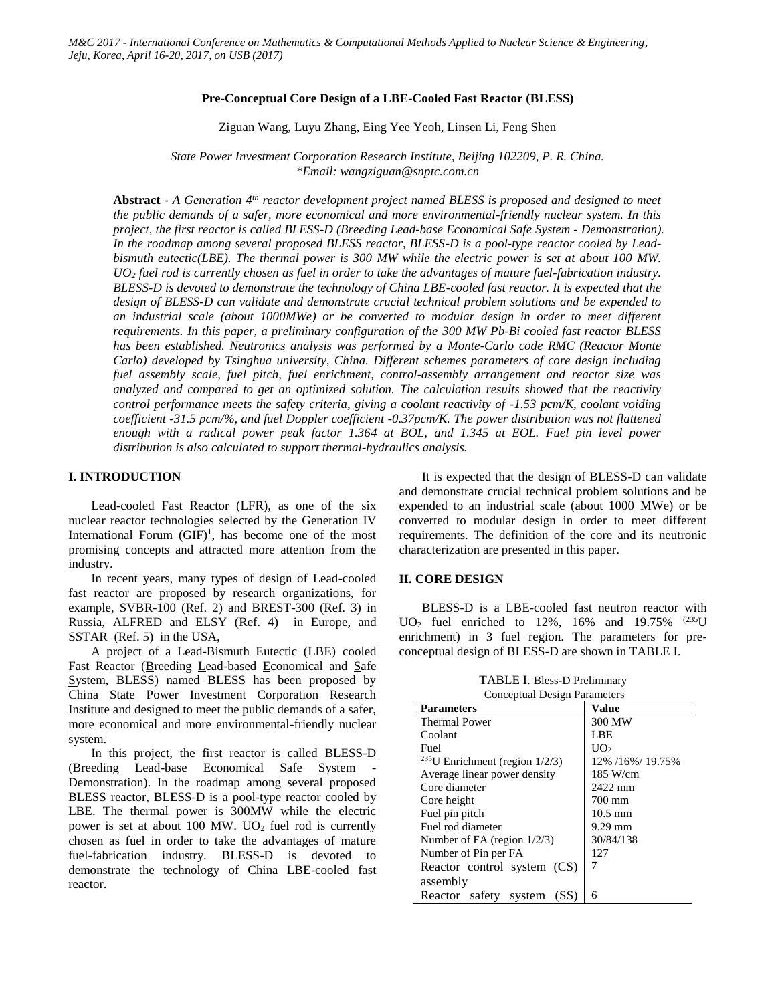# **Pre-Conceptual Core Design of a LBE-Cooled Fast Reactor (BLESS)**

Ziguan Wang, Luyu Zhang, Eing Yee Yeoh, Linsen Li, Feng Shen

*State Power Investment Corporation Research Institute, Beijing 102209, P. R. China. \*Email: wangziguan@snptc.com.cn*

**Abstract** *- A Generation 4th reactor development project named BLESS is proposed and designed to meet the public demands of a safer, more economical and more environmental-friendly nuclear system. In this project, the first reactor is called BLESS-D (Breeding Lead-base Economical Safe System - Demonstration). In the roadmap among several proposed BLESS reactor, BLESS-D is a pool-type reactor cooled by Leadbismuth eutectic(LBE). The thermal power is 300 MW while the electric power is set at about 100 MW. UO<sup>2</sup> fuel rod is currently chosen as fuel in order to take the advantages of mature fuel-fabrication industry. BLESS-D is devoted to demonstrate the technology of China LBE-cooled fast reactor. It is expected that the design of BLESS-D can validate and demonstrate crucial technical problem solutions and be expended to an industrial scale (about 1000MWe) or be converted to modular design in order to meet different requirements. In this paper, a preliminary configuration of the 300 MW Pb-Bi cooled fast reactor BLESS has been established. Neutronics analysis was performed by a Monte-Carlo code RMC (Reactor Monte Carlo) developed by Tsinghua university, China. Different schemes parameters of core design including fuel assembly scale, fuel pitch, fuel enrichment, control-assembly arrangement and reactor size was analyzed and compared to get an optimized solution. The calculation results showed that the reactivity control performance meets the safety criteria, giving a coolant reactivity of -1.53 pcm/K, coolant voiding coefficient -31.5 pcm/%, and fuel Doppler coefficient -0.37pcm/K. The power distribution was not flattened enough with a radical power peak factor 1.364 at BOL, and 1.345 at EOL. Fuel pin level power distribution is also calculated to support thermal-hydraulics analysis.*

# **I. INTRODUCTION**

Lead-cooled Fast Reactor (LFR), as one of the six nuclear reactor technologies selected by the Generation IV International Forum  $(GIF)^1$ , has become one of the most promising concepts and attracted more attention from the industry.

In recent years, many types of design of Lead-cooled fast reactor are proposed by research organizations, for example, SVBR-100 (Ref. 2) and BREST-300 (Ref. 3) in Russia, ALFRED and ELSY (Ref. 4) in Europe, and SSTAR (Ref. 5) in the USA,

A project of a Lead-Bismuth Eutectic (LBE) cooled Fast Reactor (Breeding Lead-based Economical and Safe System, BLESS) named BLESS has been proposed by China State Power Investment Corporation Research Institute and designed to meet the public demands of a safer, more economical and more environmental-friendly nuclear system.

In this project, the first reactor is called BLESS-D (Breeding Lead-base Economical Safe System - Demonstration). In the roadmap among several proposed BLESS reactor, BLESS-D is a pool-type reactor cooled by LBE. The thermal power is 300MW while the electric power is set at about 100 MW.  $UO<sub>2</sub>$  fuel rod is currently chosen as fuel in order to take the advantages of mature fuel-fabrication industry. BLESS-D is devoted to demonstrate the technology of China LBE-cooled fast reactor.

It is expected that the design of BLESS-D can validate and demonstrate crucial technical problem solutions and be expended to an industrial scale (about 1000 MWe) or be converted to modular design in order to meet different requirements. The definition of the core and its neutronic characterization are presented in this paper.

# **II. CORE DESIGN**

BLESS-D is a LBE-cooled fast neutron reactor with  $UO_2$  fuel enriched to 12%, 16% and 19.75% (235U) enrichment) in 3 fuel region. The parameters for preconceptual design of BLESS-D are shown in TABLE I.

TABLE I. Bless-D Preliminary

| Conceptual Design Parameters         |                   |
|--------------------------------------|-------------------|
| <b>Parameters</b>                    | Value             |
| <b>Thermal Power</b>                 | 300 MW            |
| Coolant                              | LBE               |
| Fuel                                 | UO <sub>2</sub>   |
| $235$ U Enrichment (region $1/2/3$ ) | 12% /16%/ 19.75%  |
| Average linear power density         | 185 W/cm          |
| Core diameter                        | 2422 mm           |
| Core height                          | 700 mm            |
| Fuel pin pitch                       | $10.5 \text{ mm}$ |
| Fuel rod diameter                    | $9.29$ mm         |
| Number of FA (region $1/2/3$ )       | 30/84/138         |
| Number of Pin per FA                 | 12.7              |
| Reactor control system (CS)          | 7                 |
| assembly                             |                   |
| Reactor safety system<br>(SS)        | 6                 |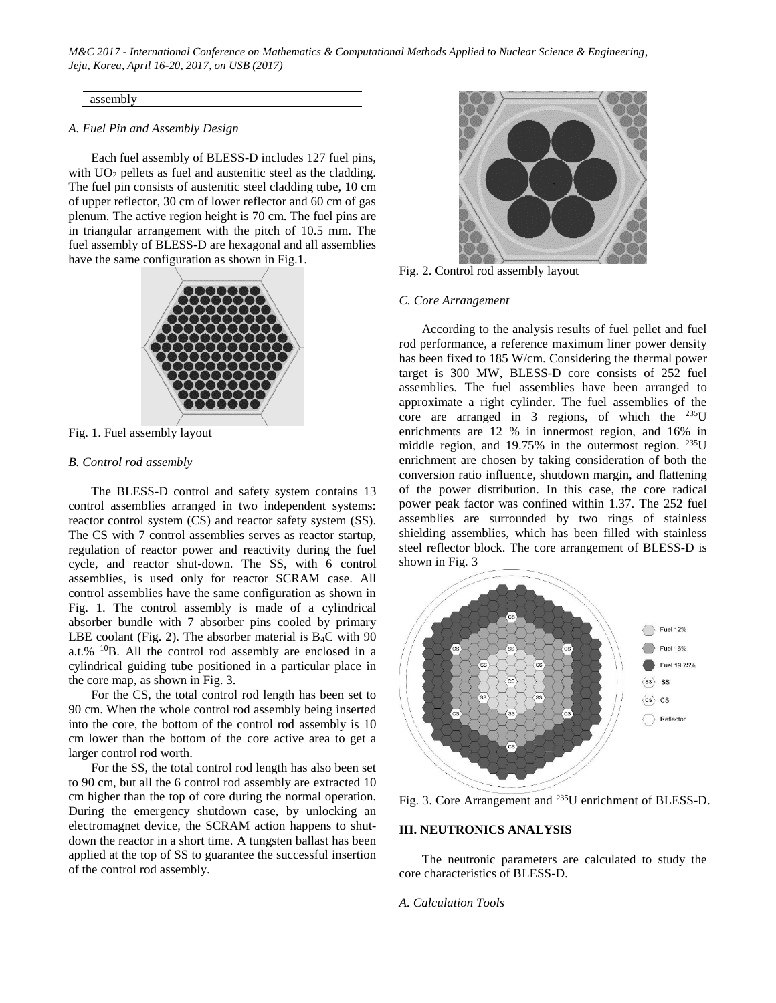| assembly |  |
|----------|--|

# *A. Fuel Pin and Assembly Design*

Each fuel assembly of BLESS-D includes 127 fuel pins, with UO<sub>2</sub> pellets as fuel and austenitic steel as the cladding. The fuel pin consists of austenitic steel cladding tube, 10 cm of upper reflector, 30 cm of lower reflector and 60 cm of gas plenum. The active region height is 70 cm. The fuel pins are in triangular arrangement with the pitch of 10.5 mm. The fuel assembly of BLESS-D are hexagonal and all assemblies have the same configuration as shown in Fig.1.



Fig. 1. Fuel assembly layout

# *B. Control rod assembly*

The BLESS-D control and safety system contains 13 control assemblies arranged in two independent systems: reactor control system (CS) and reactor safety system (SS). The CS with 7 control assemblies serves as reactor startup, regulation of reactor power and reactivity during the fuel cycle, and reactor shut-down. The SS, with 6 control assemblies, is used only for reactor SCRAM case. All control assemblies have the same configuration as shown in Fig. 1. The control assembly is made of a cylindrical absorber bundle with 7 absorber pins cooled by primary LBE coolant (Fig. 2). The absorber material is  $B_4C$  with 90 a.t.% <sup>10</sup>B. All the control rod assembly are enclosed in a cylindrical guiding tube positioned in a particular place in the core map, as shown in Fig. 3.

For the CS, the total control rod length has been set to 90 cm. When the whole control rod assembly being inserted into the core, the bottom of the control rod assembly is 10 cm lower than the bottom of the core active area to get a larger control rod worth.

For the SS, the total control rod length has also been set to 90 cm, but all the 6 control rod assembly are extracted 10 cm higher than the top of core during the normal operation. During the emergency shutdown case, by unlocking an electromagnet device, the SCRAM action happens to shutdown the reactor in a short time. A tungsten ballast has been applied at the top of SS to guarantee the successful insertion of the control rod assembly.



Fig. 2. Control rod assembly layout

# *C. Core Arrangement*

According to the analysis results of fuel pellet and fuel rod performance, a reference maximum liner power density has been fixed to 185 W/cm. Considering the thermal power target is 300 MW, BLESS-D core consists of 252 fuel assemblies. The fuel assemblies have been arranged to approximate a right cylinder. The fuel assemblies of the core are arranged in 3 regions, of which the <sup>235</sup>U enrichments are 12 % in innermost region, and 16% in middle region, and 19.75% in the outermost region. <sup>235</sup>U enrichment are chosen by taking consideration of both the conversion ratio influence, shutdown margin, and flattening of the power distribution. In this case, the core radical power peak factor was confined within 1.37. The 252 fuel assemblies are surrounded by two rings of stainless shielding assemblies, which has been filled with stainless steel reflector block. The core arrangement of BLESS-D is shown in Fig. 3



Fig. 3. Core Arrangement and <sup>235</sup>U enrichment of BLESS-D.

# **III. NEUTRONICS ANALYSIS**

The neutronic parameters are calculated to study the core characteristics of BLESS-D.

# *A. Calculation Tools*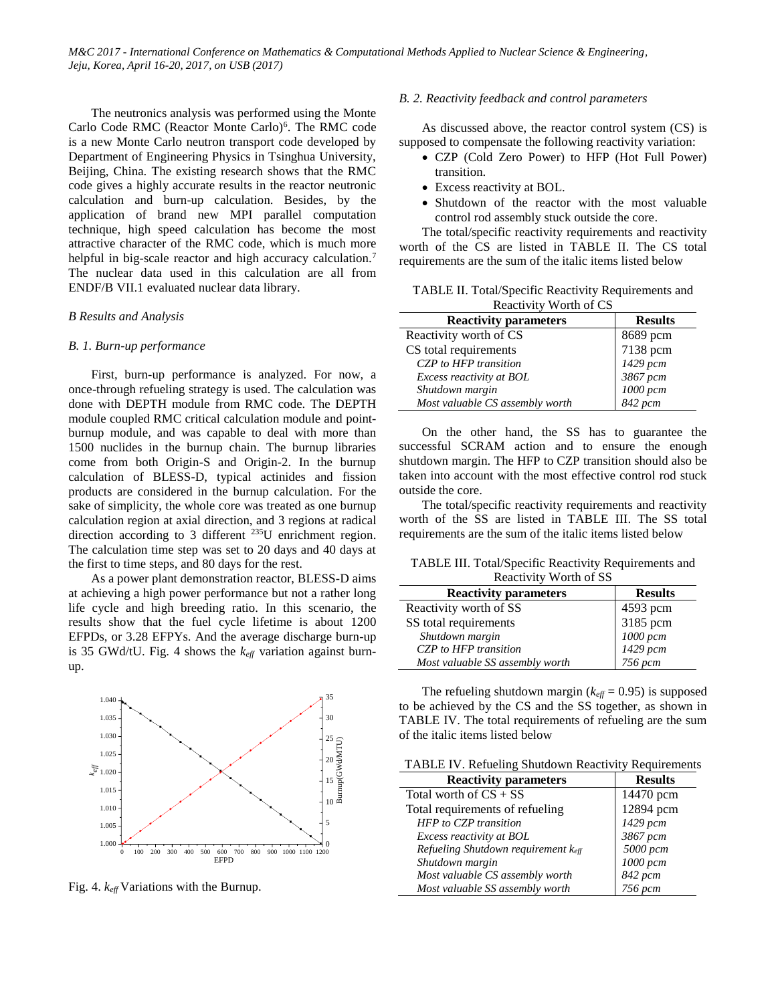The neutronics analysis was performed using the Monte Carlo Code RMC (Reactor Monte Carlo)<sup>6</sup>. The RMC code is a new Monte Carlo neutron transport code developed by Department of Engineering Physics in Tsinghua University, Beijing, China. The existing research shows that the RMC code gives a highly accurate results in the reactor neutronic calculation and burn-up calculation. Besides, by the application of brand new MPI parallel computation technique, high speed calculation has become the most attractive character of the RMC code, which is much more helpful in big-scale reactor and high accuracy calculation.<sup>7</sup> The nuclear data used in this calculation are all from ENDF/B VII.1 evaluated nuclear data library.

#### *B Results and Analysis*

#### *B. 1. Burn-up performance*

First, burn-up performance is analyzed. For now, a once-through refueling strategy is used. The calculation was done with DEPTH module from RMC code. The DEPTH module coupled RMC critical calculation module and pointburnup module, and was capable to deal with more than 1500 nuclides in the burnup chain. The burnup libraries come from both Origin-S and Origin-2. In the burnup calculation of BLESS-D, typical actinides and fission products are considered in the burnup calculation. For the sake of simplicity, the whole core was treated as one burnup calculation region at axial direction, and 3 regions at radical direction according to 3 different <sup>235</sup>U enrichment region. The calculation time step was set to 20 days and 40 days at the first to time steps, and 80 days for the rest.

As a power plant demonstration reactor, BLESS-D aims at achieving a high power performance but not a rather long life cycle and high breeding ratio. In this scenario, the results show that the fuel cycle lifetime is about 1200 EFPDs, or 3.28 EFPYs. And the average discharge burn-up is 35 GWd/tU. Fig. 4 shows the *keff* variation against burnup.



Fig. 4. *keff* Variations with the Burnup.

# *B. 2. Reactivity feedback and control parameters*

As discussed above, the reactor control system (CS) is supposed to compensate the following reactivity variation:

- CZP (Cold Zero Power) to HFP (Hot Full Power) transition.
- Excess reactivity at BOL.
- Shutdown of the reactor with the most valuable control rod assembly stuck outside the core.

The total/specific reactivity requirements and reactivity worth of the CS are listed in TABLE II. The CS total requirements are the sum of the italic items listed below

TABLE II. Total/Specific Reactivity Requirements and Reactivity Worth of CS

| <b>Reactivity parameters</b>    | <b>Results</b>       |
|---------------------------------|----------------------|
| Reactivity worth of CS          | 8689 pcm             |
| CS total requirements           | 7138 pcm             |
| CZP to HFP transition           | 1429 рст<br>3867 рст |
| Excess reactivity at BOL        |                      |
| Shutdown margin                 | 1000 pcm             |
| Most valuable CS assembly worth | 842 pcm              |

On the other hand, the SS has to guarantee the successful SCRAM action and to ensure the enough shutdown margin. The HFP to CZP transition should also be taken into account with the most effective control rod stuck outside the core.

The total/specific reactivity requirements and reactivity worth of the SS are listed in TABLE III. The SS total requirements are the sum of the italic items listed below

TABLE III. Total/Specific Reactivity Requirements and Reactivity Worth of SS

| <b>Reactivity parameters</b>    | <b>Results</b> |
|---------------------------------|----------------|
| Reactivity worth of SS          | 4593 pcm       |
| SS total requirements           | 3185 pcm       |
| Shutdown margin                 | $1000$ pcm     |
| CZP to HFP transition           | $1429$ pcm     |
| Most valuable SS assembly worth | $756$ pcm      |

 $_{25}$  of the italic items listed below <sup>30</sup> TABLE IV. The total requirements of refueling are the sum The refueling shutdown margin ( $k_{\text{eff}}$  = 0.95) is supposed to be achieved by the CS and the SS together, as shown in

 $20\frac{5}{8}$  TABLE IV. Refueling Shutdown Reactivity Requirements

| <b>Reactivity parameters</b>        | <b>Results</b> |
|-------------------------------------|----------------|
| Total worth of $CS + SS$            | 14470 pcm      |
| Total requirements of refueling     | 12894 pcm      |
| <b>HFP</b> to CZP transition        | 1429 pcm       |
| Excess reactivity at BOL            | 3867 pcm       |
| Refueling Shutdown requirement keff | 5000 pcm       |
| Shutdown margin                     | 1000 pcm       |
| Most valuable CS assembly worth     | 842 pcm        |
| Most valuable SS assembly worth     | 756 рст        |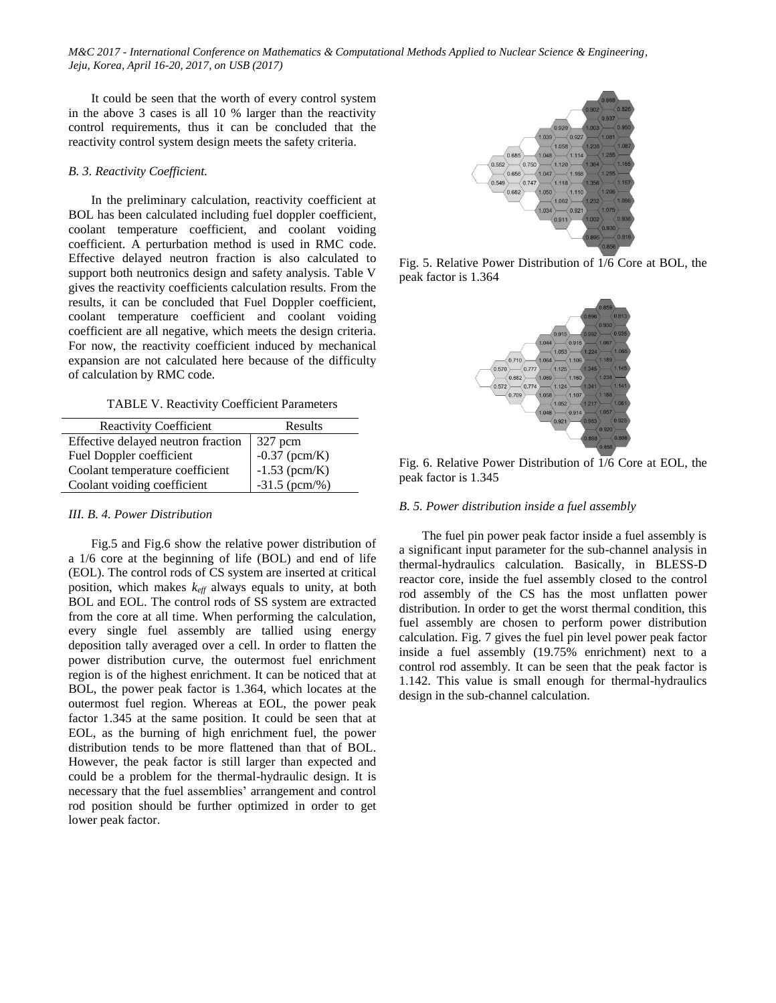It could be seen that the worth of every control system in the above 3 cases is all 10 % larger than the reactivity control requirements, thus it can be concluded that the reactivity control system design meets the safety criteria.

# *B. 3. Reactivity Coefficient.*

In the preliminary calculation, reactivity coefficient at BOL has been calculated including fuel doppler coefficient, coolant temperature coefficient, and coolant voiding coefficient. A perturbation method is used in RMC code. Effective delayed neutron fraction is also calculated to support both neutronics design and safety analysis. Table V gives the reactivity coefficients calculation results. From the results, it can be concluded that Fuel Doppler coefficient, coolant temperature coefficient and coolant voiding coefficient are all negative, which meets the design criteria. For now, the reactivity coefficient induced by mechanical expansion are not calculated here because of the difficulty of calculation by RMC code.

TABLE V. Reactivity Coefficient Parameters

| <b>Reactivity Coefficient</b>      | Results         |
|------------------------------------|-----------------|
| Effective delayed neutron fraction | 327 pcm         |
| Fuel Doppler coefficient           | $-0.37$ (pcm/K) |
| Coolant temperature coefficient    | $-1.53$ (pcm/K) |
| Coolant voiding coefficient        | $-31.5$ (pcm/%) |

# *III. B. 4. Power Distribution*

Fig.5 and Fig.6 show the relative power distribution of a 1/6 core at the beginning of life (BOL) and end of life (EOL). The control rods of CS system are inserted at critical position, which makes *keff* always equals to unity, at both BOL and EOL. The control rods of SS system are extracted from the core at all time. When performing the calculation, every single fuel assembly are tallied using energy deposition tally averaged over a cell. In order to flatten the power distribution curve, the outermost fuel enrichment region is of the highest enrichment. It can be noticed that at BOL, the power peak factor is 1.364, which locates at the outermost fuel region. Whereas at EOL, the power peak factor 1.345 at the same position. It could be seen that at EOL, as the burning of high enrichment fuel, the power distribution tends to be more flattened than that of BOL. However, the peak factor is still larger than expected and could be a problem for the thermal-hydraulic design. It is necessary that the fuel assemblies' arrangement and control rod position should be further optimized in order to get lower peak factor.



Fig. 5. Relative Power Distribution of 1/6 Core at BOL, the peak factor is 1.364



Fig. 6. Relative Power Distribution of 1/6 Core at EOL, the peak factor is 1.345

# *B. 5. Power distribution inside a fuel assembly*

The fuel pin power peak factor inside a fuel assembly is a significant input parameter for the sub-channel analysis in thermal-hydraulics calculation. Basically, in BLESS-D reactor core, inside the fuel assembly closed to the control rod assembly of the CS has the most unflatten power distribution. In order to get the worst thermal condition, this fuel assembly are chosen to perform power distribution calculation. Fig. 7 gives the fuel pin level power peak factor inside a fuel assembly (19.75% enrichment) next to a control rod assembly. It can be seen that the peak factor is 1.142. This value is small enough for thermal-hydraulics design in the sub-channel calculation.